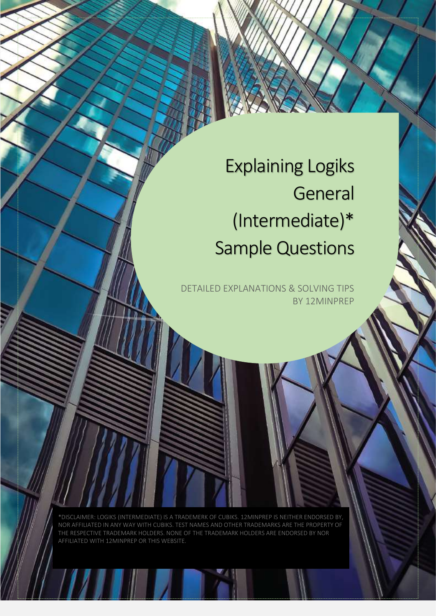Explaining Logiks **General** (Intermediate)\* Sample Questions

DETAILED EXPLANATIONS & SOLVING TIPS BY 12MINPREP

\*DISCLAIMER: LOGIKS (INTERMEDIATE) IS A TRADEMERK OF CUBIKS. 12MINPREP IS NEITHER ENDORSED BY, NOR AFFILIATED IN ANY WAY WITH CUBIKS. TEST NAMES AND OTHER TRADEMARKS ARE THE PROPERTY OF THE RESPECTIVE TRADEMARK HOLDERS. NONE OF THE TRADEMARK HOLDERS ARE ENDORSED BY NOR AFFILIATED WITH 12MINPREP OR THIS WEBSITE.

WWW.12Min.12Min.12Min.12Min.12Min.12Min.12Min.12Min.12Min.12Min.12Min.12Min.12Min.12Min.12Min.12Min.12Min.12Mi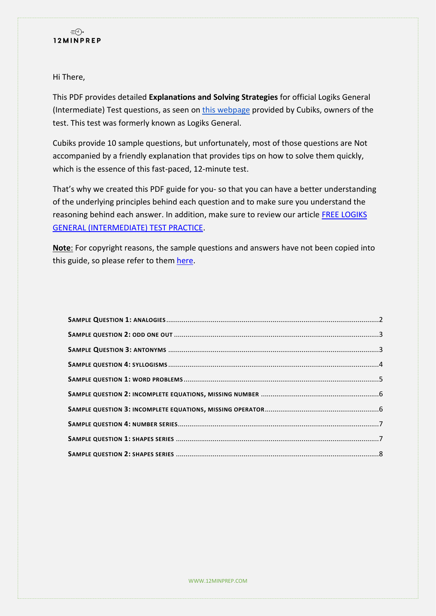

Hi There,

This PDF provides detailed **Explanations and Solving Strategies** for official Logiks General (Intermediate) Test questions, as seen on this [webpage](https://practicetests.cubiks.com/ability-tests/intermediate) provided by Cubiks, owners of the test. This test was formerly known as Logiks General.

Cubiks provide 10 sample questions, but unfortunately, most of those questions are Not accompanied by a friendly explanation that provides tips on how to solve them quickly, which is the essence of this fast-paced, 12-minute test.

That's why we created this PDF guide for you- so that you can have a better understanding of the underlying principles behind each question and to make sure you understand the reasoning behind each answer. In addition, make sure to review our article [FREE LOGIKS](https://www.12minprep.com/knowledge-hub/free-logiks-general-intermediate-test-practice/?utm_source=pdf&utm_medium=cta-logiks&utm_content=learn-more)  [GENERAL \(INTERMEDIATE\) TEST PRACTICE.](https://www.12minprep.com/knowledge-hub/free-logiks-general-intermediate-test-practice/?utm_source=pdf&utm_medium=cta-logiks&utm_content=learn-more)

**Note**: For copyright reasons, the sample questions and answers have not been copied into this guide, so please refer to them [here.](https://practicetests.cubiks.com/ability-tests/intermediate)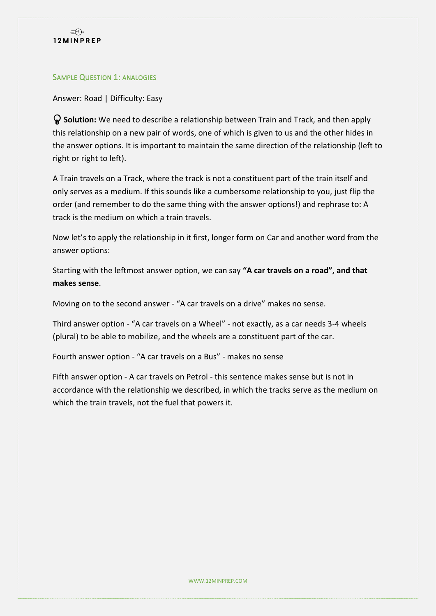

#### <span id="page-2-0"></span>**SAMPLE QUESTION 1: ANALOGIES**

Answer: Road | Difficulty: Easy

 **Solution:** We need to describe a relationship between Train and Track, and then apply this relationship on a new pair of words, one of which is given to us and the other hides in the answer options. It is important to maintain the same direction of the relationship (left to right or right to left).

A Train travels on a Track, where the track is not a constituent part of the train itself and only serves as a medium. If this sounds like a cumbersome relationship to you, just flip the order (and remember to do the same thing with the answer options!) and rephrase to: A track is the medium on which a train travels.

Now let's to apply the relationship in it first, longer form on Car and another word from the answer options:

Starting with the leftmost answer option, we can say **"A car travels on a road", and that makes sense**.

Moving on to the second answer - "A car travels on a drive" makes no sense.

Third answer option - "A car travels on a Wheel" - not exactly, as a car needs 3-4 wheels (plural) to be able to mobilize, and the wheels are a constituent part of the car.

Fourth answer option - "A car travels on a Bus" - makes no sense

Fifth answer option - A car travels on Petrol - this sentence makes sense but is not in accordance with the relationship we described, in which the tracks serve as the medium on which the train travels, not the fuel that powers it.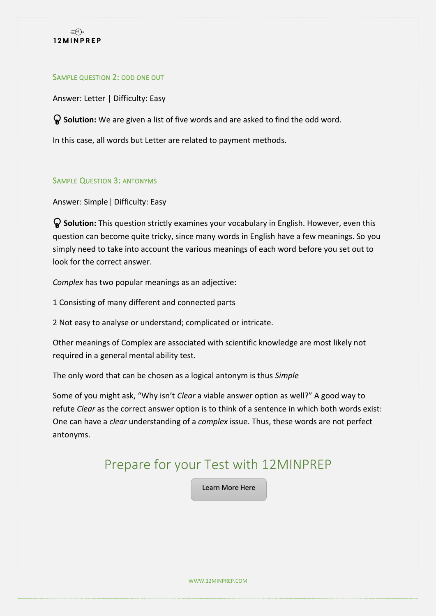

#### <span id="page-3-0"></span>SAMPLE QUESTION 2: ODD ONE OUT

Answer: Letter | Difficulty: Easy

**Solution:** We are given a list of five words and are asked to find the odd word.

In this case, all words but Letter are related to payment methods.

#### <span id="page-3-1"></span>SAMPLE QUESTION 3: ANTONYMS

Answer: Simple| Difficulty: Easy

 **Solution:** This question strictly examines your vocabulary in English. However, even this question can become quite tricky, since many words in English have a few meanings. So you simply need to take into account the various meanings of each word before you set out to look for the correct answer.

*Complex* has two popular meanings as an adjective:

1 Consisting of many different and connected parts

2 Not easy to analyse or understand; complicated or intricate.

Other meanings of Complex are associated with scientific knowledge are most likely not required in a general mental ability test.

The only word that can be chosen as a logical antonym is thus *Simple*

Some of you might ask, "Why isn't *Clear* a viable answer option as well?" A good way to refute *Clear* as the correct answer option is to think of a sentence in which both words exist: One can have a *clear* understanding of a *complex* issue. Thus, these words are not perfect antonyms.

# Prepare for your Test with 12MINPREP

[Learn More Here](https://www.12minprep.com/knowledge-hub/free-logiks-general-intermediate-test-practice/?utm_source=pdf&utm_medium=cta-logiks&utm_content=learn-more)

WWW.12MINPREP.COM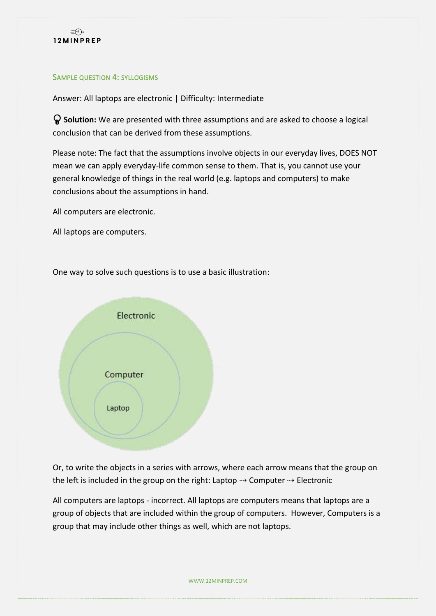

#### <span id="page-4-0"></span>SAMPLE QUESTION 4: SYLLOGISMS

Answer: All laptops are electronic | Difficulty: Intermediate

 **Solution:** We are presented with three assumptions and are asked to choose a logical conclusion that can be derived from these assumptions.

Please note: The fact that the assumptions involve objects in our everyday lives, DOES NOT mean we can apply everyday-life common sense to them. That is, you cannot use your general knowledge of things in the real world (e.g. laptops and computers) to make conclusions about the assumptions in hand.

All computers are electronic.

All laptops are computers.

One way to solve such questions is to use a basic illustration:



Or, to write the objects in a series with arrows, where each arrow means that the group on the left is included in the group on the right: Laptop  $\rightarrow$  Computer  $\rightarrow$  Electronic

All computers are laptops - incorrect. All laptops are computers means that laptops are a group of objects that are included within the group of computers. However, Computers is a group that may include other things as well, which are not laptops.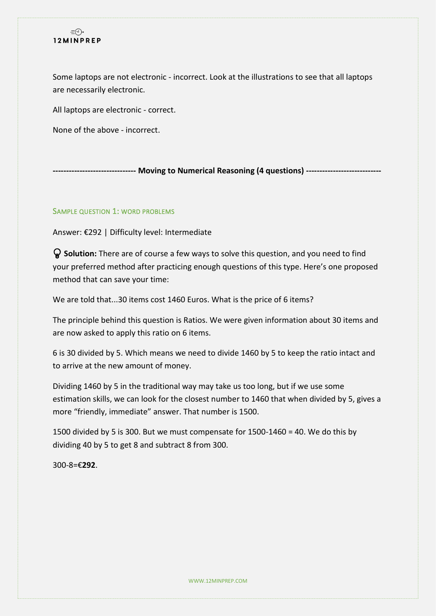# $\exists \Theta$ 12MINPREP

Some laptops are not electronic - incorrect. Look at the illustrations to see that all laptops are necessarily electronic.

All laptops are electronic - correct.

None of the above - incorrect.

**------------------------------- Moving to Numerical Reasoning (4 questions) ----------------------------**

# <span id="page-5-0"></span>SAMPLE QUESTION 1: WORD PROBLEMS

Answer: €292 | Difficulty level: Intermediate

 **Solution:** There are of course a few ways to solve this question, and you need to find your preferred method after practicing enough questions of this type. Here's one proposed method that can save your time:

We are told that...30 items cost 1460 Euros. What is the price of 6 items?

The principle behind this question is Ratios. We were given information about 30 items and are now asked to apply this ratio on 6 items.

6 is 30 divided by 5. Which means we need to divide 1460 by 5 to keep the ratio intact and to arrive at the new amount of money.

Dividing 1460 by 5 in the traditional way may take us too long, but if we use some estimation skills, we can look for the closest number to 1460 that when divided by 5, gives a more "friendly, immediate" answer. That number is 1500.

1500 divided by 5 is 300. But we must compensate for 1500-1460 = 40. We do this by dividing 40 by 5 to get 8 and subtract 8 from 300.

300-8=€**292**.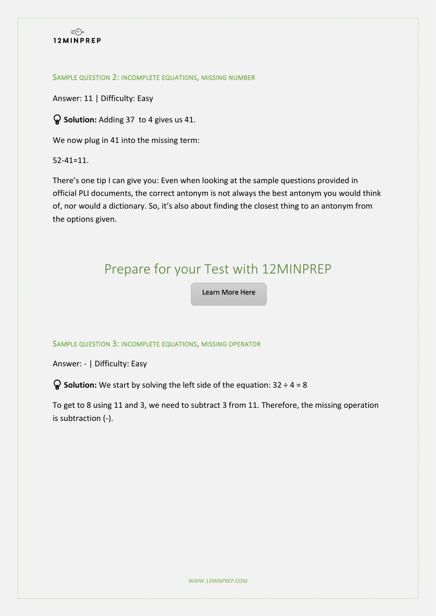

#### <span id="page-6-0"></span>SAMPLE QUESTION 2: INCOMPLETE EQUATIONS, MISSING NUMBER

Answer: 11 | Difficulty: Easy

**Solution:** Adding 37 to 4 gives us 41.

We now plug in 41 into the missing term:

52-41=11.

There's one tip I can give you: Even when looking at the sample questions provided in official PLI documents, the correct antonym is not always the best antonym you would think of, nor would a dictionary. So, it's also about finding the closest thing to an antonym from the options given.

# Prepare for your Test with 12MINPREP

[Learn More Here](https://www.12minprep.com/knowledge-hub/free-logiks-general-intermediate-test-practice/?utm_source=pdf&utm_medium=cta-logiks&utm_content=learn-more)

#### <span id="page-6-1"></span>SAMPLE QUESTION 3: INCOMPLETE EQUATIONS, MISSING OPERATOR

Answer: - | Difficulty: Easy

**Solution:** We start by solving the left side of the equation: 32 ÷ 4 = 8

To get to 8 using 11 and 3, we need to subtract 3 from 11. Therefore, the missing operation is subtraction (-).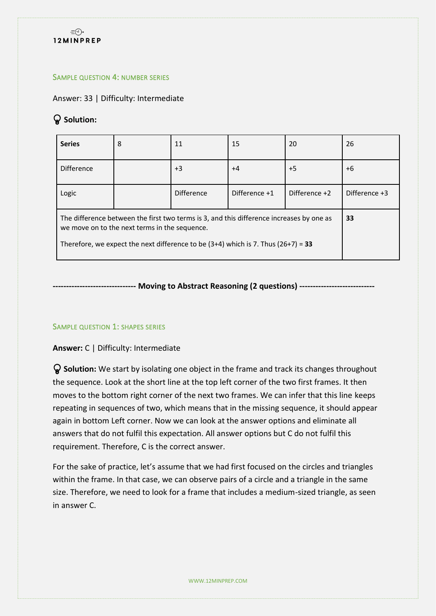

#### <span id="page-7-0"></span>SAMPLE QUESTION 4: NUMBER SERIES

Answer: 33 | Difficulty: Intermediate

# $\mathsf Q$  Solution:

| <b>Series</b>                                                                                                                                                                                                                      | 8  | 11                | 15            | 20            | 26            |
|------------------------------------------------------------------------------------------------------------------------------------------------------------------------------------------------------------------------------------|----|-------------------|---------------|---------------|---------------|
| <b>Difference</b>                                                                                                                                                                                                                  |    | $+3$              | $+4$          | $+5$          | $+6$          |
| Logic                                                                                                                                                                                                                              |    | <b>Difference</b> | Difference +1 | Difference +2 | Difference +3 |
| The difference between the first two terms is 3, and this difference increases by one as<br>we move on to the next terms in the sequence.<br>Therefore, we expect the next difference to be $(3+4)$ which is 7. Thus $(26+7) = 33$ | 33 |                   |               |               |               |

# **------------------------------- Moving to Abstract Reasoning (2 questions) ----------------------------**

# <span id="page-7-1"></span>SAMPLE QUESTION 1: SHAPES SERIES

# **Answer:** C | Difficulty: Intermediate

 **Solution:** We start by isolating one object in the frame and track its changes throughout the sequence. Look at the short line at the top left corner of the two first frames. It then moves to the bottom right corner of the next two frames. We can infer that this line keeps repeating in sequences of two, which means that in the missing sequence, it should appear again in bottom Left corner. Now we can look at the answer options and eliminate all answers that do not fulfil this expectation. All answer options but C do not fulfil this requirement. Therefore, C is the correct answer.

For the sake of practice, let's assume that we had first focused on the circles and triangles within the frame. In that case, we can observe pairs of a circle and a triangle in the same size. Therefore, we need to look for a frame that includes a medium-sized triangle, as seen in answer C.